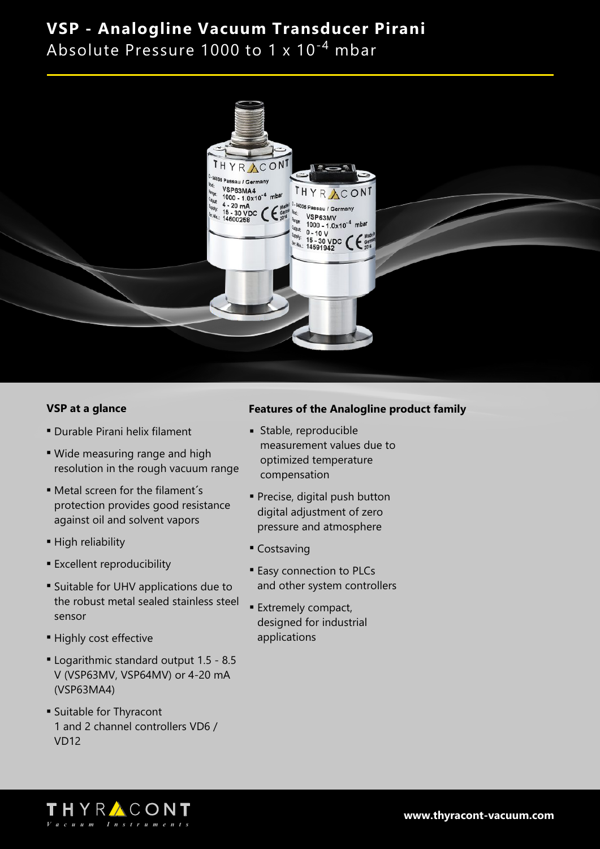Absolute Pressure 1000 to 1 x  $10^{-4}$  mbar



### **VSP at a glance**

- **Durable Pirani helix filament**
- Wide measuring range and high resolution in the rough vacuum range
- Metal screen for the filament's protection provides good resistance against oil and solvent vapors
- High reliability
- **Excellent reproducibility**
- **Example 5 In Suitable for UHV applications due to** the robust metal sealed stainless steel sensor
- **Highly cost effective**
- <sup>n</sup> Logarithmic standard output 1.5 8.5 V (VSP63MV, VSP64MV) or 4-20 mA (VSP63MA4)
- **Suitable for Thyracont** 1 and 2 channel controllers VD6 / VD12

### **Features of the Analogline product family**

- <sup>n</sup> Stable, reproducible measurement values due to optimized temperature compensation
- **Precise, digital push button** digital adjustment of zero pressure and atmosphere
- Costsaving
- **Easy connection to PLCs** and other system controllers
- **Extremely compact,** designed for industrial applications

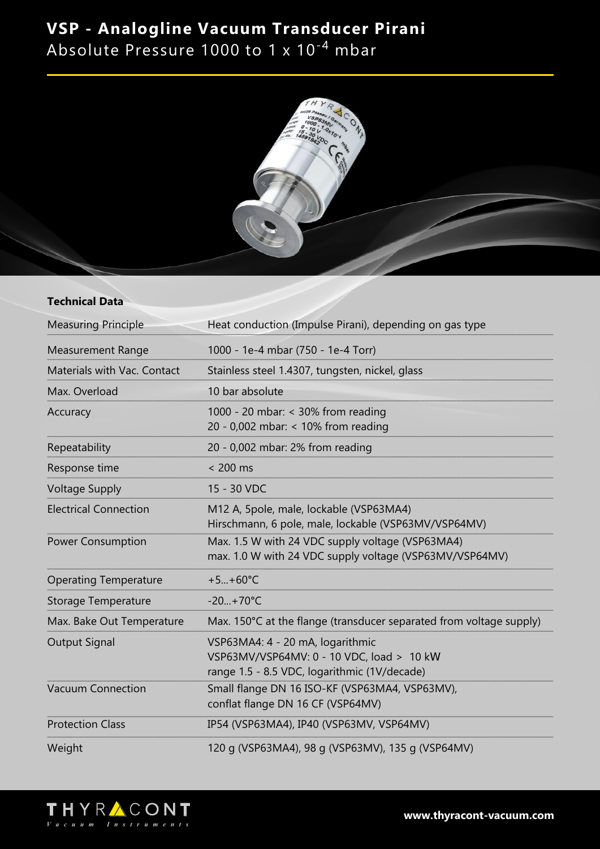Absolute Pressure 1000 to 1 x 10<sup>-4</sup> mbar



#### **Technical Data**

| <b>Measuring Principle</b>   | Heat conduction (Impulse Pirani), depending on gas type                                                                       |
|------------------------------|-------------------------------------------------------------------------------------------------------------------------------|
| <b>Measurement Range</b>     | 1000 - 1e-4 mbar (750 - 1e-4 Torr)                                                                                            |
| Materials with Vac. Contact  | Stainless steel 1.4307, tungsten, nickel, glass                                                                               |
| Max. Overload                | 10 bar absolute                                                                                                               |
| Accuracy                     | 1000 - 20 mbar: < 30% from reading<br>20 - 0,002 mbar: < 10% from reading                                                     |
| Repeatability                | 20 - 0,002 mbar: 2% from reading                                                                                              |
| Response time                | $< 200$ ms                                                                                                                    |
| <b>Voltage Supply</b>        | 15 - 30 VDC                                                                                                                   |
| <b>Electrical Connection</b> | M12 A, 5pole, male, lockable (VSP63MA4)<br>Hirschmann, 6 pole, male, lockable (VSP63MV/VSP64MV)                               |
| <b>Power Consumption</b>     | Max. 1.5 W with 24 VDC supply voltage (VSP63MA4)<br>max. 1.0 W with 24 VDC supply voltage (VSP63MV/VSP64MV)                   |
| <b>Operating Temperature</b> | $+5+60^{\circ}C$                                                                                                              |
| <b>Storage Temperature</b>   | $-20+70°C$                                                                                                                    |
| Max. Bake Out Temperature    | Max. 150°C at the flange (transducer separated from voltage supply)                                                           |
| <b>Output Signal</b>         | VSP63MA4: 4 - 20 mA, logarithmic<br>VSP63MV/VSP64MV: 0 - 10 VDC, load > 10 kW<br>range 1.5 - 8.5 VDC, logarithmic (1V/decade) |
| <b>Vacuum Connection</b>     | Small flange DN 16 ISO-KF (VSP63MA4, VSP63MV),<br>conflat flange DN 16 CF (VSP64MV)                                           |
| <b>Protection Class</b>      | IP54 (VSP63MA4), IP40 (VSP63MV, VSP64MV)                                                                                      |
| Weight                       | 120 g (VSP63MA4), 98 g (VSP63MV), 135 g (VSP64MV)                                                                             |



**www.thyracont-vacuum.com**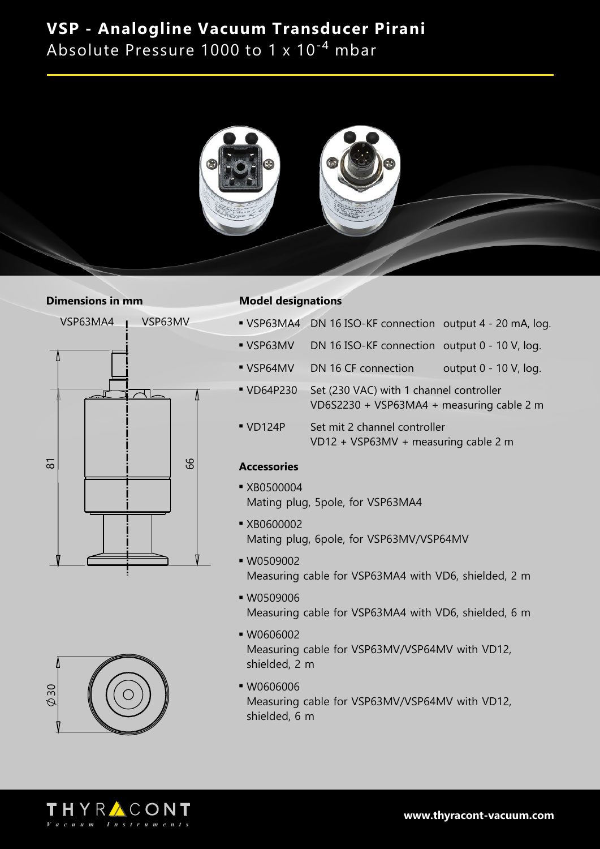Absolute Pressure 1000 to 1 x  $10^{-4}$  mbar



#### **Dimensions in mm**





#### **Model designations**

- VSP63MA4 DN 16 ISO-KF connection output 4 20 mA, log.
- VSP63MV DN 16 ISO-KF connection output 0 10 V, log.
- VSP64MV DN 16 CF connection output 0 10 V, log.
- VD64P230 Set (230 VAC) with 1 channel controller VD6S2230 + VSP63MA4 + measuring cable 2 m
- <sup>n</sup> VD124P Set mit 2 channel controller VD12 + VSP63MV + measuring cable 2 m

### **Accessories**

- **xB0500004** Mating plug, 5pole, for VSP63MA4
- **xB0600002** Mating plug, 6pole, for VSP63MV/VSP64MV
- **W0509002** Measuring cable for VSP63MA4 with VD6, shielded, 2 m
- $W0509006$ Measuring cable for VSP63MA4 with VD6, shielded, 6 m
- $W0606002$ Measuring cable for VSP63MV/VSP64MV with VD12, shielded, 2 m
- <sup>n</sup> W0606006 Measuring cable for VSP63MV/VSP64MV with VD12, shielded, 6 m